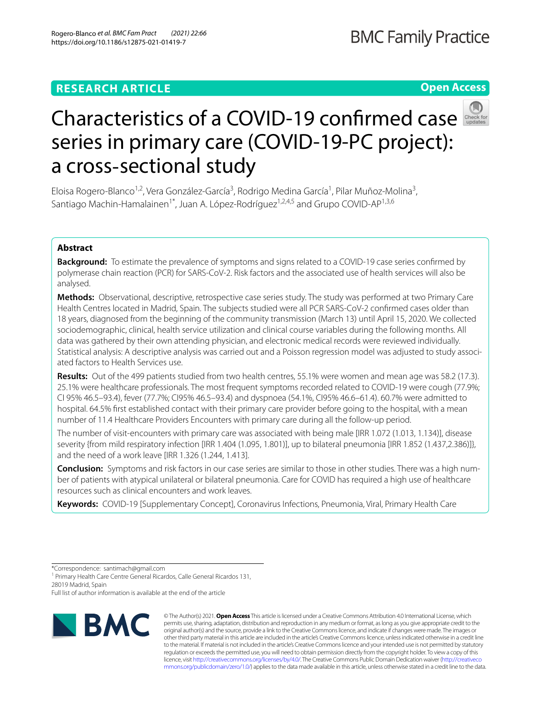## **RESEARCH ARTICLE**

# **BMC Family Practice**

**Open Access**



# Characteristicsof a COVID-19 confirmed case series in primary care (COVID-19-PC project): a cross‐sectional study

Eloisa Rogero-Blanco<sup>1,2</sup>, Vera González-García<sup>3</sup>, Rodrigo Medina García<sup>1</sup>, Pilar Muñoz-Molina<sup>3</sup>, Santiago Machin-Hamalainen<sup>1\*</sup>, Juan A. López-Rodríguez<sup>1,2,4,5</sup> and Grupo COVID-AP<sup>1,3,6</sup>

## **Abstract**

**Background:** To estimate the prevalence of symptoms and signs related to a COVID-19 case series confrmed by polymerase chain reaction (PCR) for SARS-CoV-2. Risk factors and the associated use of health services will also be analysed.

**Methods:** Observational, descriptive, retrospective case series study. The study was performed at two Primary Care Health Centres located in Madrid, Spain. The subjects studied were all PCR SARS-CoV-2 confrmed cases older than 18 years, diagnosed from the beginning of the community transmission (March 13) until April 15, 2020. We collected sociodemographic, clinical, health service utilization and clinical course variables during the following months. All data was gathered by their own attending physician, and electronic medical records were reviewed individually. Statistical analysis: A descriptive analysis was carried out and a Poisson regression model was adjusted to study associated factors to Health Services use.

**Results:** Out of the 499 patients studied from two health centres, 55.1% were women and mean age was 58.2 (17.3). 25.1% were healthcare professionals. The most frequent symptoms recorded related to COVID-19 were cough (77.9%; CI 95% 46.5–93.4), fever (77.7%; CI95% 46.5–93.4) and dyspnoea (54.1%, CI95% 46.6–61.4). 60.7% were admitted to hospital. 64.5% frst established contact with their primary care provider before going to the hospital, with a mean number of 11.4 Healthcare Providers Encounters with primary care during all the follow-up period.

The number of visit-encounters with primary care was associated with being male [IRR 1.072 (1.013, 1.134)], disease severity {from mild respiratory infection [IRR 1.404 (1.095, 1.801)], up to bilateral pneumonia [IRR 1.852 (1.437,2.386)]}, and the need of a work leave [IRR 1.326 (1.244, 1.413].

**Conclusion:** Symptoms and risk factors in our case series are similar to those in other studies. There was a high num‑ ber of patients with atypical unilateral or bilateral pneumonia. Care for COVID has required a high use of healthcare resources such as clinical encounters and work leaves.

**Keywords:** COVID-19 [Supplementary Concept], Coronavirus Infections, Pneumonia, Viral, Primary Health Care

\*Correspondence: santimach@gmail.com

<sup>1</sup> Primary Health Care Centre General Ricardos, Calle General Ricardos 131, 28019 Madrid, Spain

Full list of author information is available at the end of the article



© The Author(s) 2021. **Open Access** This article is licensed under a Creative Commons Attribution 4.0 International License, which permits use, sharing, adaptation, distribution and reproduction in any medium or format, as long as you give appropriate credit to the original author(s) and the source, provide a link to the Creative Commons licence, and indicate if changes were made. The images or other third party material in this article are included in the article's Creative Commons licence, unless indicated otherwise in a credit line to the material. If material is not included in the article's Creative Commons licence and your intended use is not permitted by statutory regulation or exceeds the permitted use, you will need to obtain permission directly from the copyright holder. To view a copy of this licence, visit [http://creativecommons.org/licenses/by/4.0/.](http://creativecommons.org/licenses/by/4.0/) The Creative Commons Public Domain Dedication waiver ([http://creativeco](http://creativecommons.org/publicdomain/zero/1.0/) [mmons.org/publicdomain/zero/1.0/](http://creativecommons.org/publicdomain/zero/1.0/)) applies to the data made available in this article, unless otherwise stated in a credit line to the data.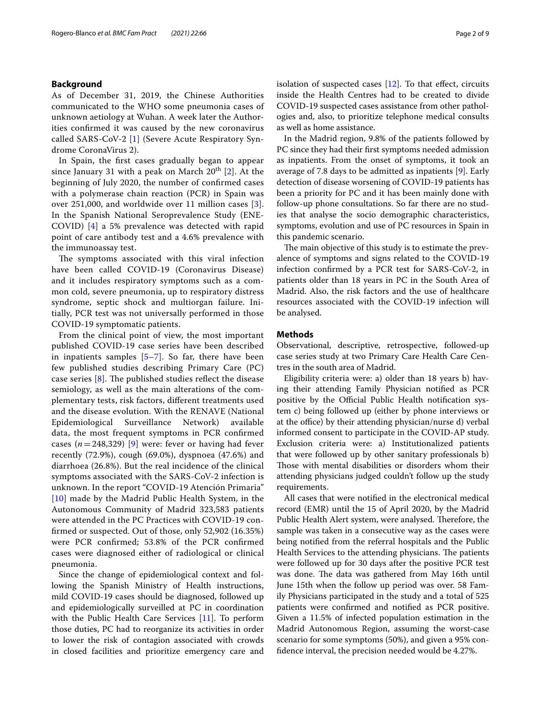## **Background**

As of December 31, 2019, the Chinese Authorities communicated to the WHO some pneumonia cases of unknown aetiology at Wuhan. A week later the Authorities confrmed it was caused by the new coronavirus called SARS-CoV-2 [[1\]](#page-7-0) (Severe Acute Respiratory Syndrome CoronaVirus 2).

In Spain, the frst cases gradually began to appear since January 31 with a peak on March  $20<sup>th</sup>$  $20<sup>th</sup>$  [2]. At the beginning of July 2020, the number of confrmed cases with a polymerase chain reaction (PCR) in Spain was over 251,000, and worldwide over 11 million cases [[3\]](#page-7-2). In the Spanish National Seroprevalence Study (ENE-COVID) [[4\]](#page-7-3) a 5% prevalence was detected with rapid point of care antibody test and a 4.6% prevalence with the immunoassay test.

The symptoms associated with this viral infection have been called COVID-19 (Coronavirus Disease) and it includes respiratory symptoms such as a common cold, severe pneumonia, up to respiratory distress syndrome, septic shock and multiorgan failure. Initially, PCR test was not universally performed in those COVID-19 symptomatic patients.

From the clinical point of view, the most important published COVID-19 case series have been described in inpatients samples  $[5-7]$  $[5-7]$ . So far, there have been few published studies describing Primary Care (PC) case series  $[8]$  $[8]$ . The published studies reflect the disease semiology, as well as the main alterations of the complementary tests, risk factors, diferent treatments used and the disease evolution. With the RENAVE (National Epidemiological Surveillance Network) available data, the most frequent symptoms in PCR confrmed cases  $(n=248,329)$  [\[9](#page-7-7)] were: fever or having had fever recently (72.9%), cough (69.0%), dyspnoea (47.6%) and diarrhoea (26.8%). But the real incidence of the clinical symptoms associated with the SARS-CoV-2 infection is unknown. In the report "COVID-19 Atención Primaria" [[10](#page-7-8)] made by the Madrid Public Health System, in the Autonomous Community of Madrid 323,583 patients were attended in the PC Practices with COVID-19 confrmed or suspected. Out of those, only 52,902 (16.35%) were PCR confrmed; 53.8% of the PCR confrmed cases were diagnosed either of radiological or clinical pneumonia.

Since the change of epidemiological context and following the Spanish Ministry of Health instructions, mild COVID-19 cases should be diagnosed, followed up and epidemiologically surveilled at PC in coordination with the Public Health Care Services [\[11](#page-7-9)]. To perform those duties, PC had to reorganize its activities in order to lower the risk of contagion associated with crowds in closed facilities and prioritize emergency care and isolation of suspected cases  $[12]$ . To that effect, circuits inside the Health Centres had to be created to divide COVID-19 suspected cases assistance from other pathologies and, also, to prioritize telephone medical consults as well as home assistance.

In the Madrid region, 9.8% of the patients followed by PC since they had their frst symptoms needed admission as inpatients. From the onset of symptoms, it took an average of 7.8 days to be admitted as inpatients [[9\]](#page-7-7). Early detection of disease worsening of COVID-19 patients has been a priority for PC and it has been mainly done with follow-up phone consultations. So far there are no studies that analyse the socio demographic characteristics, symptoms, evolution and use of PC resources in Spain in this pandemic scenario.

The main objective of this study is to estimate the prevalence of symptoms and signs related to the COVID-19 infection confrmed by a PCR test for SARS-CoV-2, in patients older than 18 years in PC in the South Area of Madrid. Also, the risk factors and the use of healthcare resources associated with the COVID-19 infection will be analysed.

#### **Methods**

Observational, descriptive, retrospective, followed-up case series study at two Primary Care Health Care Centres in the south area of Madrid.

Eligibility criteria were: a) older than 18 years b) having their attending Family Physician notifed as PCR positive by the Official Public Health notification system c) being followed up (either by phone interviews or at the office) by their attending physician/nurse d) verbal informed consent to participate in the COVID-AP study. Exclusion criteria were: a) Institutionalized patients that were followed up by other sanitary professionals b) Those with mental disabilities or disorders whom their attending physicians judged couldn't follow up the study requirements.

All cases that were notifed in the electronical medical record (EMR) until the 15 of April 2020, by the Madrid Public Health Alert system, were analysed. Therefore, the sample was taken in a consecutive way as the cases were being notifed from the referral hospitals and the Public Health Services to the attending physicians. The patients were followed up for 30 days after the positive PCR test was done. The data was gathered from May 16th until June 15th when the follow up period was over. 58 Family Physicians participated in the study and a total of 525 patients were confrmed and notifed as PCR positive. Given a 11.5% of infected population estimation in the Madrid Autonomous Region, assuming the worst-case scenario for some symptoms (50%), and given a 95% confdence interval, the precision needed would be 4.27%.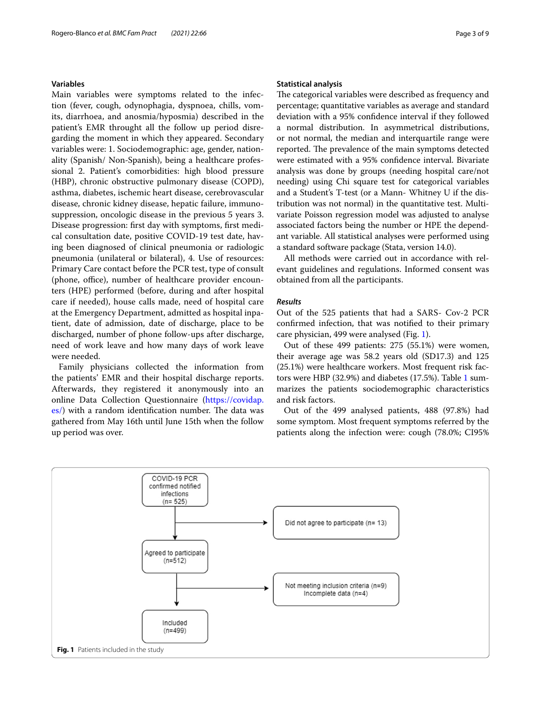## **Variables**

Main variables were symptoms related to the infection (fever, cough, odynophagia, dyspnoea, chills, vomits, diarrhoea, and anosmia/hyposmia) described in the patient's EMR throught all the follow up period disregarding the moment in which they appeared. Secondary variables were: 1. Sociodemographic: age, gender, nationality (Spanish/ Non-Spanish), being a healthcare professional 2. Patient's comorbidities: high blood pressure (HBP), chronic obstructive pulmonary disease (COPD), asthma, diabetes, ischemic heart disease, cerebrovascular disease, chronic kidney disease, hepatic failure, immunosuppression, oncologic disease in the previous 5 years 3. Disease progression: frst day with symptoms, frst medical consultation date, positive COVID-19 test date, having been diagnosed of clinical pneumonia or radiologic pneumonia (unilateral or bilateral), 4. Use of resources: Primary Care contact before the PCR test, type of consult (phone, office), number of healthcare provider encounters (HPE) performed (before, during and after hospital care if needed), house calls made, need of hospital care at the Emergency Department, admitted as hospital inpatient, date of admission, date of discharge, place to be discharged, number of phone follow-ups after discharge, need of work leave and how many days of work leave were needed.

Family physicians collected the information from the patients' EMR and their hospital discharge reports. Afterwards, they registered it anonymously into an online Data Collection Questionnaire [\(https://covidap.](https://covidap.es/)  $\frac{1}{10}$  with a random identification number. The data was gathered from May 16th until June 15th when the follow up period was over.

#### **Statistical analysis**

The categorical variables were described as frequency and percentage; quantitative variables as average and standard deviation with a 95% confdence interval if they followed a normal distribution. In asymmetrical distributions, or not normal, the median and interquartile range were reported. The prevalence of the main symptoms detected were estimated with a 95% confdence interval. Bivariate analysis was done by groups (needing hospital care/not needing) using Chi square test for categorical variables and a Student's T-test (or a Mann- Whitney U if the distribution was not normal) in the quantitative test. Multivariate Poisson regression model was adjusted to analyse associated factors being the number or HPE the dependant variable. All statistical analyses were performed using a standard software package (Stata, version 14.0).

All methods were carried out in accordance with relevant guidelines and regulations. Informed consent was obtained from all the participants.

#### *Results*

Out of the 525 patients that had a SARS- Cov-2 PCR confrmed infection, that was notifed to their primary care physician, 499 were analysed (Fig. [1\)](#page-2-0).

Out of these 499 patients: 275 (55.1%) were women, their average age was 58.2 years old (SD17.3) and 125 (25.1%) were healthcare workers. Most frequent risk factors were HBP (32.9%) and diabetes (17.5%). Table [1](#page-3-0) summarizes the patients sociodemographic characteristics and risk factors.

Out of the 499 analysed patients, 488 (97.8%) had some symptom. Most frequent symptoms referred by the patients along the infection were: cough (78.0%; CI95%

<span id="page-2-0"></span>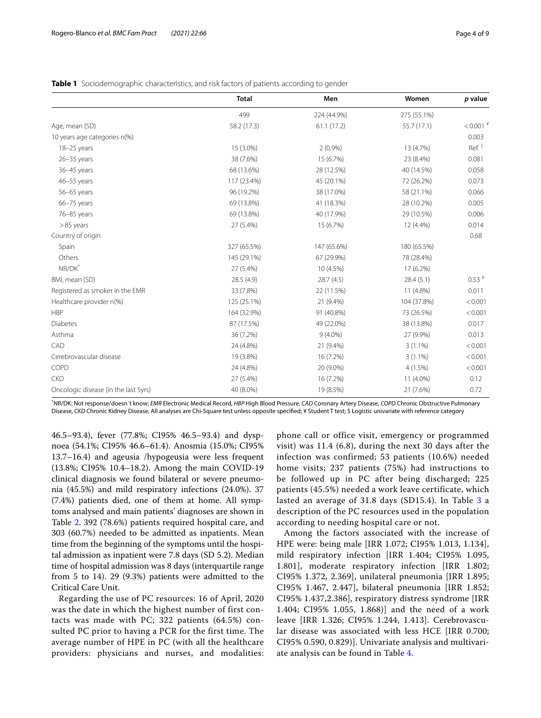|                                      | <b>Total</b> | Men         | Women       | p value       |
|--------------------------------------|--------------|-------------|-------------|---------------|
|                                      | 499          | 224 (44.9%) | 275 (55.1%) |               |
| Age, mean (SD)                       | 58.2 (17.3)  | 61.1(17.2)  | 55.7 (17.1) | $< 0.001$ $*$ |
| 10 years age categories n(%)         |              |             |             | 0.003         |
| 18-25 years                          | 15 (3.0%)    | 2(0.9%)     | 13 (4.7%)   | Ref. \$       |
| $26 - 35$ years                      | 38 (7.6%)    | 15 (6.7%)   | 23 (8.4%)   | 0.081         |
| 36-45 years                          | 68 (13.6%)   | 28 (12.5%)  | 40 (14.5%)  | 0.058         |
| 46-55 years                          | 117 (23.4%)  | 45 (20.1%)  | 72 (26.2%)  | 0.073         |
| 56-65 years                          | 96 (19.2%)   | 38 (17.0%)  | 58 (21.1%)  | 0.066         |
| 66-75 years                          | 69 (13.8%)   | 41 (18.3%)  | 28 (10.2%)  | 0.005         |
| 76-85 years                          | 69 (13.8%)   | 40 (17.9%)  | 29 (10.5%)  | 0.006         |
| $>85$ years                          | 27 (5.4%)    | 15 (6.7%)   | 12 (4.4%)   | 0.014         |
| Country of origin                    |              |             |             | 0.68          |
| Spain                                | 327 (65.5%)  | 147 (65.6%) | 180 (65.5%) |               |
| Others                               | 145 (29.1%)  | 67 (29.9%)  | 78 (28.4%)  |               |
| NR/DK <sup>*</sup>                   | 27 (5.4%)    | 10 (4.5%)   | 17 (6.2%)   |               |
| BMI, mean (SD)                       | 28.5 (4.9)   | 28.7(4.5)   | 28.4(5.1)   | $0.53*$       |
| Registered as smoker in the EMR      | 33 (7.8%)    | 22 (11.5%)  | 11 (4.8%)   | 0.011         |
| Healthcare provider n(%)             | 125 (25.1%)  | 21 (9.4%)   | 104 (37.8%) | < 0.001       |
| <b>HBP</b>                           | 164 (32.9%)  | 91 (40.8%)  | 73 (26.5%)  | < 0.001       |
| Diabetes                             | 87 (17.5%)   | 49 (22.0%)  | 38 (13.8%)  | 0.017         |
| Asthma                               | 36 (7.2%)    | $9(4.0\%)$  | 27 (9.9%)   | 0.013         |
| CAD                                  | 24 (4.8%)    | 21 (9.4%)   | $3(1.1\%)$  | < 0.001       |
| Cerebrovascular disease              | 19 (3.8%)    | 16 (7.2%)   | $3(1.1\%)$  | < 0.001       |
| COPD                                 | 24 (4.8%)    | 20 (9.0%)   | 4(1.5%)     | < 0.001       |
| <b>CKD</b>                           | 27 (5.4%)    | 16 (7.2%)   | 11 (4.0%)   | 0.12          |
| Oncologic disease (in the last 5yrs) | 40 (8.0%)    | 19 (8.5%)   | 21 (7.6%)   | 0.72          |

## <span id="page-3-0"></span>**Table 1** Sociodemographic characteristics, and risk factors of patients according to gender

\* NR/DK: Not response/doesn´t know; *EMR* Electronic Medical Record, *HBP* High Blood Pressure, *CAD* Coronary Artery Disease, *COPD* Chronic Obstructive Pulmonary Disease, *CKD* Chronic Kidney Disease, All analyses are Chi-Square test unless opposite specifed; ¥ Student T test; \$ Logistic univariate with reference category

46.5–93.4), fever (77.8%; CI95% 46.5–93.4) and dyspnoea (54.1%; CI95% 46.6–61.4). Anosmia (15.0%; CI95% 13.7–16.4) and ageusia /hypogeusia were less frequent (13.8%; CI95% 10.4–18.2). Among the main COVID-19 clinical diagnosis we found bilateral or severe pneumonia (45.5%) and mild respiratory infections (24.0%). 37 (7.4%) patients died, one of them at home. All symptoms analysed and main patients' diagnoses are shown in Table [2.](#page-4-0) 392 (78.6%) patients required hospital care, and 303 (60.7%) needed to be admitted as inpatients. Mean time from the beginning of the symptoms until the hospital admission as inpatient were 7.8 days (SD 5.2). Median time of hospital admission was 8 days (interquartile range from 5 to 14). 29 (9.3%) patients were admitted to the Critical Care Unit.

Regarding the use of PC resources: 16 of April, 2020 was the date in which the highest number of first contacts was made with PC; 322 patients (64.5%) consulted PC prior to having a PCR for the first time. The average number of HPE in PC (with all the healthcare providers: physicians and nurses, and modalities:

phone call or office visit, emergency or programmed visit) was 11.4 (6.8), during the next 30 days after the infection was confirmed; 53 patients (10.6%) needed home visits; 237 patients (75%) had instructions to be followed up in PC after being discharged; 225 patients (45.5%) needed a work leave certificate, which lasted an average of [3](#page-4-1)1.8 days (SD15.4). In Table 3 a description of the PC resources used in the population according to needing hospital care or not.

Among the factors associated with the increase of HPE were: being male [IRR 1.072; CI95% 1.013, 1.134], mild respiratory infection [IRR 1.404; CI95% 1.095, 1.801], moderate respiratory infection [IRR 1.802; CI95% 1.372, 2.369], unilateral pneumonia [IRR 1.895; CI95% 1.467, 2.447], bilateral pneumonia [IRR 1.852; CI95% 1.437,2.386], respiratory distress syndrome [IRR 1.404; CI95% 1.055, 1.868)] and the need of a work leave [IRR 1.326; CI95% 1.244, 1.413]. Cerebrovascular disease was associated with less HCE [IRR 0.700; CI95% 0.590, 0.829)]. Univariate analysis and multivariate analysis can be found in Table [4](#page-5-0).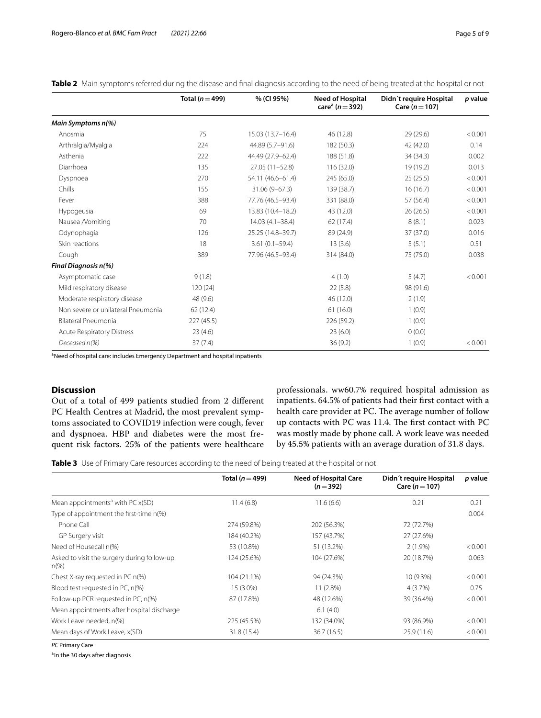|                                    | Total ( $n = 499$ ) | % (CI 95%)          | <b>Need of Hospital</b><br>care <sup>a</sup> ( $n = 392$ ) | Didn't require Hospital<br>Care ( $n = 107$ ) | p value |
|------------------------------------|---------------------|---------------------|------------------------------------------------------------|-----------------------------------------------|---------|
| Main Symptoms n(%)                 |                     |                     |                                                            |                                               |         |
| Anosmia                            | 75                  | 15.03 (13.7-16.4)   | 46 (12.8)                                                  | 29 (29.6)                                     | < 0.001 |
| Arthralgia/Myalgia                 | 224                 | 44.89 (5.7-91.6)    | 182 (50.3)                                                 | 42 (42.0)                                     | 0.14    |
| Asthenia                           | 222                 | 44.49 (27.9-62.4)   | 188 (51.8)                                                 | 34 (34.3)                                     | 0.002   |
| Diarrhoea                          | 135                 | $27.05(11 - 52.8)$  | 116 (32.0)                                                 | 19 (19.2)                                     | 0.013   |
| Dyspnoea                           | 270                 | 54.11 (46.6-61.4)   | 245 (65.0)                                                 | 25(25.5)                                      | < 0.001 |
| Chills                             | 155                 | $31.06(9 - 67.3)$   | 139 (38.7)                                                 | 16(16.7)                                      | < 0.001 |
| Fever                              | 388                 | 77.76 (46.5-93.4)   | 331 (88.0)                                                 | 57 (56.4)                                     | < 0.001 |
| Hypogeusia                         | 69                  | 13.83 (10.4-18.2)   | 43 (12.0)                                                  | 26(26.5)                                      | < 0.001 |
| Nausea /Vomiting                   | 70                  | $14.03(4.1 - 38.4)$ | 62 (17.4)                                                  | 8(8.1)                                        | 0.023   |
| Odynophagia                        | 126                 | 25.25 (14.8-39.7)   | 89 (24.9)                                                  | 37 (37.0)                                     | 0.016   |
| Skin reactions                     | 18                  | $3.61(0.1 - 59.4)$  | 13(3.6)                                                    | 5(5.1)                                        | 0.51    |
| Cough                              | 389                 | 77.96 (46.5-93.4)   | 314 (84.0)                                                 | 75 (75.0)                                     | 0.038   |
| <b>Final Diagnosis n(%)</b>        |                     |                     |                                                            |                                               |         |
| Asymptomatic case                  | 9(1.8)              |                     | 4(1.0)                                                     | 5(4.7)                                        | < 0.001 |
| Mild respiratory disease           | 120(24)             |                     | 22(5.8)                                                    | 98 (91.6)                                     |         |
| Moderate respiratory disease       | 48 (9.6)            |                     | 46 (12.0)                                                  | 2(1.9)                                        |         |
| Non severe or unilateral Pneumonia | 62 (12.4)           |                     | 61(16.0)                                                   | 1(0.9)                                        |         |
| Bilateral Pneumonia                | 227 (45.5)          |                     | 226 (59.2)                                                 | 1(0.9)                                        |         |
| <b>Acute Respiratory Distress</b>  | 23(4.6)             |                     | 23(6.0)                                                    | 0(0.0)                                        |         |
| Deceased n(%)                      | 37(7.4)             |                     | 36 (9.2)                                                   | 1(0.9)                                        | < 0.001 |

<span id="page-4-0"></span>**Table 2** Main symptoms referred during the disease and final diagnosis according to the need of being treated at the hospital or not

<sup>a</sup>Need of hospital care: includes Emergency Department and hospital inpatients

## **Discussion**

Out of a total of 499 patients studied from 2 diferent PC Health Centres at Madrid, the most prevalent symptoms associated to COVID19 infection were cough, fever and dyspnoea. HBP and diabetes were the most frequent risk factors. 25% of the patients were healthcare professionals. ww60.7% required hospital admission as inpatients. 64.5% of patients had their frst contact with a health care provider at PC. The average number of follow up contacts with PC was 11.4. The first contact with PC was mostly made by phone call. A work leave was needed by 45.5% patients with an average duration of 31.8 days.

<span id="page-4-1"></span>**Table 3** Use of Primary Care resources according to the need of being treated at the hospital or not

|                                                      | Total ( $n = 499$ ) | <b>Need of Hospital Care</b><br>$(n=392)$ | Didn't require Hospital<br>Care ( $n = 107$ ) | p value |
|------------------------------------------------------|---------------------|-------------------------------------------|-----------------------------------------------|---------|
| Mean appointments <sup>a</sup> with PC x(SD)         | 11.4(6.8)           | 11.6(6.6)                                 | 0.21                                          | 0.21    |
| Type of appointment the first-time n(%)              |                     |                                           |                                               | 0.004   |
| Phone Call                                           | 274 (59.8%)         | 202 (56.3%)                               | 72 (72.7%)                                    |         |
| GP Surgery visit                                     | 184 (40.2%)         | 157 (43.7%)                               | 27 (27.6%)                                    |         |
| Need of Housecall n(%)                               | 53 (10.8%)          | 51 (13.2%)                                | $2(1.9\%)$                                    | < 0.001 |
| Asked to visit the surgery during follow-up<br>$n\%$ | 124 (25.6%)         | 104 (27.6%)                               | 20 (18.7%)                                    | 0.063   |
| Chest X-ray requested in PC n(%)                     | 104 (21.1%)         | 94 (24.3%)                                | 10 (9.3%)                                     | < 0.001 |
| Blood test requested in PC, n(%)                     | 15 (3.0%)           | 11(2.8%)                                  | 4 (3.7%)                                      | 0.75    |
| Follow-up PCR requested in PC, n(%)                  | 87 (17.8%)          | 48 (12.6%)                                | 39 (36.4%)                                    | < 0.001 |
| Mean appointments after hospital discharge           |                     | 6.1(4.0)                                  |                                               |         |
| Work Leave needed, n(%)                              | 225 (45.5%)         | 132 (34.0%)                               | 93 (86.9%)                                    | < 0.001 |
| Mean days of Work Leave, x(SD)                       | 31.8 (15.4)         | 36.7(16.5)                                | 25.9(11.6)                                    | < 0.001 |

*PC* Primary Care

a<sub>In the 30</sub> days after diagnosis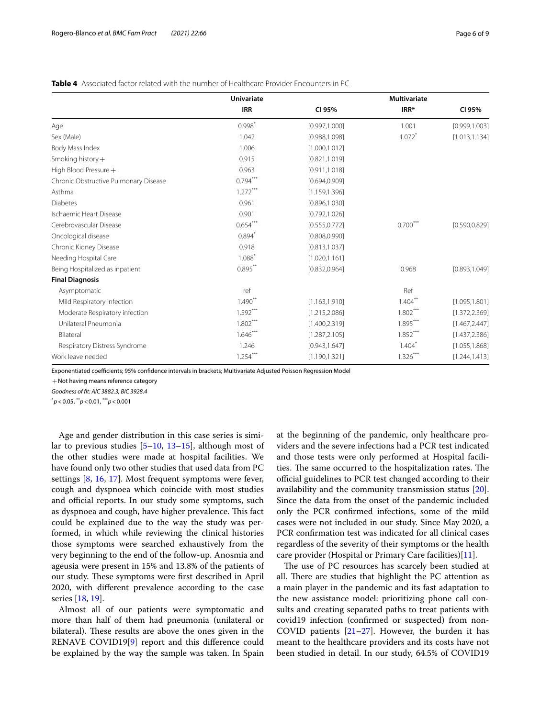|                                       | <b>Univariate</b> |                | <b>Multivariate</b> |                |
|---------------------------------------|-------------------|----------------|---------------------|----------------|
|                                       | <b>IRR</b>        | CI 95%         | IRR*                | CI 95%         |
| Age                                   | $0.998*$          | [0.997, 1.000] | 1.001               | [0.999, 1.003] |
| Sex (Male)                            | 1.042             | [0.988, 1.098] | $1.072$ *           | [1.013, 1.134] |
| Body Mass Index                       | 1.006             | [1.000, 1.012] |                     |                |
| Smoking history $+$                   | 0.915             | [0.821, 1.019] |                     |                |
| High Blood Pressure +                 | 0.963             | [0.911, 1.018] |                     |                |
| Chronic Obstructive Pulmonary Disease | $0.794***$        | [0.694, 0.909] |                     |                |
| Asthma                                | $1.272***$        | [1.159, 1.396] |                     |                |
| <b>Diabetes</b>                       | 0.961             | [0.896, 1.030] |                     |                |
| Ischaemic Heart Disease               | 0.901             | [0.792, 1.026] |                     |                |
| Cerebrovascular Disease               | $0.654***$        | [0.555, 0.772] | $0.700***$          | [0.590, 0.829] |
| Oncological disease                   | $0.894*$          | [0.808, 0.990] |                     |                |
| Chronic Kidney Disease                | 0.918             | [0.813, 1.037] |                     |                |
| Needing Hospital Care                 | 1.088             | [1.020, 1.161] |                     |                |
| Being Hospitalized as inpatient       | $0.895***$        | [0.832, 0.964] | 0.968               | [0.893, 1.049] |
| <b>Final Diagnosis</b>                |                   |                |                     |                |
| Asymptomatic                          | ref               |                | Ref                 |                |
| Mild Respiratory infection            | $1.490**$         | [1.163, 1.910] | $1.404***$          | [1.095, 1.801] |
| Moderate Respiratory infection        | $1.592***$        | [1.215, 2.086] | $1.802***$          | [1.372, 2.369] |
| Unilateral Pneumonia                  | $1.802***$        | [1.400, 2.319] | $1.895***$          | [1.467, 2.447] |
| Bilateral                             | $1.646***$        | [1.287, 2.105] | $1.852***$          | [1.437, 2.386] |
| Respiratory Distress Syndrome         | 1.246             | [0.943, 1.647] | $1.404*$            | [1.055, 1.868] |
| Work leave needed                     | 1.254             | [1.190, 1.321] | $1.326***$          | [1.244, 1.413] |

## <span id="page-5-0"></span>**Table 4** Associated factor related with the number of Healthcare Provider Encounters in PC

Exponentiated coefficients; 95% confidence intervals in brackets; Multivariate Adjusted Poisson Regression Model

 $+$ Not having means reference category

*Goodness of ft: AIC 3882.3, BIC 3928.4*

\* *p*<0.05, \*\**p*<0.01, \*\*\**p*<0.001

Age and gender distribution in this case series is similar to previous studies [\[5](#page-7-4)[–10,](#page-7-8) [13–](#page-7-11)[15](#page-7-12)], although most of the other studies were made at hospital facilities. We have found only two other studies that used data from PC settings [\[8](#page-7-6), [16,](#page-7-13) [17\]](#page-7-14). Most frequent symptoms were fever, cough and dyspnoea which coincide with most studies and official reports. In our study some symptoms, such as dyspnoea and cough, have higher prevalence. This fact could be explained due to the way the study was performed, in which while reviewing the clinical histories those symptoms were searched exhaustively from the very beginning to the end of the follow-up. Anosmia and ageusia were present in 15% and 13.8% of the patients of our study. These symptoms were first described in April 2020, with diferent prevalence according to the case series [\[18](#page-7-15), [19](#page-7-16)].

Almost all of our patients were symptomatic and more than half of them had pneumonia (unilateral or bilateral). These results are above the ones given in the RENAVE COVID19[\[9](#page-7-7)] report and this diference could be explained by the way the sample was taken. In Spain at the beginning of the pandemic, only healthcare providers and the severe infections had a PCR test indicated and those tests were only performed at Hospital facilities. The same occurred to the hospitalization rates. The official guidelines to PCR test changed according to their availability and the community transmission status [\[20](#page-7-17)]. Since the data from the onset of the pandemic included only the PCR confrmed infections, some of the mild cases were not included in our study. Since May 2020, a PCR confrmation test was indicated for all clinical cases regardless of the severity of their symptoms or the health care provider (Hospital or Primary Care facilities)[\[11](#page-7-9)].

The use of PC resources has scarcely been studied at all. There are studies that highlight the PC attention as a main player in the pandemic and its fast adaptation to the new assistance model: prioritizing phone call consults and creating separated paths to treat patients with covid19 infection (confrmed or suspected) from non-COVID patients  $[21-27]$  $[21-27]$ . However, the burden it has meant to the healthcare providers and its costs have not been studied in detail. In our study, 64.5% of COVID19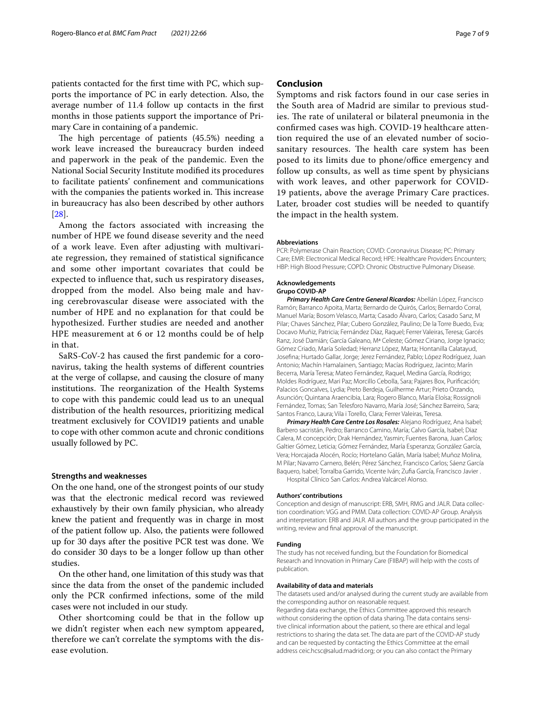patients contacted for the frst time with PC, which supports the importance of PC in early detection. Also, the average number of 11.4 follow up contacts in the frst months in those patients support the importance of Primary Care in containing of a pandemic.

The high percentage of patients  $(45.5%)$  needing a work leave increased the bureaucracy burden indeed and paperwork in the peak of the pandemic. Even the National Social Security Institute modifed its procedures to facilitate patients' confnement and communications with the companies the patients worked in. This increase in bureaucracy has also been described by other authors [[28\]](#page-8-1).

Among the factors associated with increasing the number of HPE we found disease severity and the need of a work leave. Even after adjusting with multivariate regression, they remained of statistical signifcance and some other important covariates that could be expected to infuence that, such us respiratory diseases, dropped from the model. Also being male and having cerebrovascular disease were associated with the number of HPE and no explanation for that could be hypothesized. Further studies are needed and another HPE measurement at 6 or 12 months could be of help in that.

SaRS-CoV-2 has caused the frst pandemic for a coronavirus, taking the health systems of diferent countries at the verge of collapse, and causing the closure of many institutions. The reorganization of the Health Systems to cope with this pandemic could lead us to an unequal distribution of the health resources, prioritizing medical treatment exclusively for COVID19 patients and unable to cope with other common acute and chronic conditions usually followed by PC.

#### **Strengths and weaknesses**

On the one hand, one of the strongest points of our study was that the electronic medical record was reviewed exhaustively by their own family physician, who already knew the patient and frequently was in charge in most of the patient follow up. Also, the patients were followed up for 30 days after the positive PCR test was done. We do consider 30 days to be a longer follow up than other studies.

On the other hand, one limitation of this study was that since the data from the onset of the pandemic included only the PCR confrmed infections, some of the mild cases were not included in our study.

Other shortcoming could be that in the follow up we didn't register when each new symptom appeared, therefore we can't correlate the symptoms with the disease evolution.

## **Conclusion**

Symptoms and risk factors found in our case series in the South area of Madrid are similar to previous studies. The rate of unilateral or bilateral pneumonia in the confrmed cases was high. COVID-19 healthcare attention required the use of an elevated number of sociosanitary resources. The health care system has been posed to its limits due to phone/office emergency and follow up consults, as well as time spent by physicians with work leaves, and other paperwork for COVID-19 patients, above the average Primary Care practices. Later, broader cost studies will be needed to quantify the impact in the health system.

#### **Abbreviations**

PCR: Polymerase Chain Reaction; COVID: Coronavirus Disease; PC: Primary Care; EMR: Electronical Medical Record; HPE: Healthcare Providers Encounters; HBP: High Blood Pressure; COPD: Chronic Obstructive Pulmonary Disease.

#### **Acknowledgements**

**Grupo COVID-AP**

*Primary Health Care Centre General Ricardos:* Abellán López, Francisco Ramón; Barranco Apoita, Marta; Bernardo de Quirós, Carlos; Bernardo Corral, Manuel María; Bosom Velasco, Marta; Casado Álvaro, Carlos; Casado Sanz, M Pilar; Chaves Sánchez, Pilar; Cubero González, Paulino; De la Torre Buedo, Eva; Docavo Muñiz, Patricia; Fernández Díaz, Raquel; Ferrer Valeiras, Teresa; Garcés Ranz, José Damián; García Galeano, Mª Celeste; Gómez Ciriano, Jorge Ignacio; Gómez Criado, María Soledad; Herranz López, Marta; Hontanilla Calatayud, Josefna; Hurtado Gallar, Jorge; Jerez Fernández, Pablo; López Rodríguez, Juan Antonio; Machín Hamalainen, Santiago; Macías Rodríguez, Jacinto; Marín Becerra, María Teresa; Mateo Fernández, Raquel, Medina García, Rodrigo; Moldes Rodríguez, Mari Paz; Morcillo Cebolla, Sara; Pajares Box, Purifcación; Palacios Goncalves, Lydia; Preto Berdeja, Guilherme Artur; Prieto Orzando, Asunción; Quintana Araencibia, Lara; Rogero Blanco, María Eloísa; Rossignoli Fernández, Tomas; San Telesforo Navarro, María José; Sánchez Barreiro, Sara; Santos Franco, Laura; Vila i Torello, Clara; Ferrer Valeiras, Teresa.

*Primary Health Care Centre Los Rosales:* Alejano Rodríguez, Ana Isabel; Barbero sacristán, Pedro; Barranco Camino, María; Calvo García, Isabel; Diaz Calera, M concepción; Drak Hernández, Yasmin; Fuentes Barona, Juan Carlos; Galtier Gómez, Leticia; Gómez Fernández, María Esperanza; González García, Vera; Horcajada Alocén, Rocío; Hortelano Galán, María Isabel; Muñoz Molina, M Pilar; Navarro Carnero, Belén; Pérez Sánchez, Francisco Carlos; Sáenz García Baquero, Isabel; Torralba Garrido, Vicente Iván; Zufa García, Francisco Javier . Hospital Clínico San Carlos: Andrea Valcárcel Alonso.

#### **Authors' contributions**

Conception and design of manuscript: ERB, SMH, RMG and JALR. Data collec‑ tion coordination: VGG and PMM. Data collection: COVID-AP Group. Analysis and interpretation: ERB and JALR. All authors and the group participated in the writing, review and fnal approval of the manuscript.

#### **Funding**

The study has not received funding, but the Foundation for Biomedical Research and Innovation in Primary Care (FIIBAP) will help with the costs of publication.

#### **Availability of data and materials**

The datasets used and/or analysed during the current study are available from the corresponding author on reasonable request.

Regarding data exchange, the Ethics Committee approved this research without considering the option of data sharing. The data contains sensitive clinical information about the patient, so there are ethical and legal restrictions to sharing the data set. The data are part of the COVID-AP study and can be requested by contacting the Ethics Committee at the email address ceic.hcsc@salud.madrid.org; or you can also contact the Primary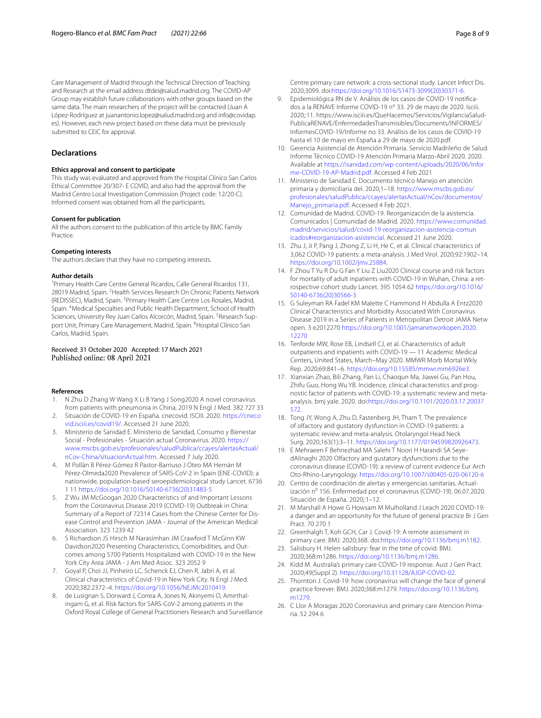Care Management of Madrid through the Technical Direction of Teaching and Research at the email address dtdei@salud.madrid.org. The COVID-AP Group may establish future collaborations with other groups based on the same data. The main researchers of the project will be contacted (Juan A López-Rodríguez at juanantonio.lopez@salud.madrid.org and info@covidap. es). However, each new project based on these data must be previously submitted to CEIC for approval.

## **Declarations**

#### **Ethics approval and consent to participate**

This study was evaluated and approved from the Hospital Clínico San Carlos Ethical Committee 20/307- E COVID, and also had the approval from the Madrid Centro Local Investigation Commission (Project code: 12/20-C). Informed consent was obtained from all the participants.

#### **Consent for publication**

All the authors consent to the publication of this article by BMC Family Practice.

#### **Competing interests**

The authors declare that they have no competing interests.

#### **Author details**

<sup>1</sup>Primary Health Care Centre General Ricardos, Calle General Ricardos 131, 28019 Madrid, Spain. <sup>2</sup> Health Services Research On Chronic Patients Network (REDISSEC), Madrid, Spain. <sup>3</sup> Primary Health Care Centre Los Rosales, Madrid, Spain. <sup>4</sup>Medical Specialties and Public Health Department, School of Health Sciences, University Rey Juan Carlos Alcorcón, Madrid, Spain. <sup>5</sup>Research Support Unit, Primary Care Management, Madrid, Spain. <sup>6</sup> Hospital Clínico San Carlos, Madrid, Spain.

#### Received: 31 October 2020 Accepted: 17 March 2021 Published online: 08 April 2021

#### **References**

- <span id="page-7-0"></span>N Zhu D Zhang W Wang X Li B Yang J Song2020 A novel coronavirus from patients with pneumonia in China, 2019 N Engl J Med. 382 727 33
- <span id="page-7-1"></span>2. Situación de COVID-19 en España. cnecovid. ISCIII. 2020. [https://cneco](https://cnecovid.isciii.es/covid19/) [vid.isciii.es/covid19/](https://cnecovid.isciii.es/covid19/). Accessed 21 June 2020.
- <span id="page-7-2"></span>3. Ministerio de Sanidad E. Ministerio de Sanidad, Consumo y Bienestar Social - Profesionales - Situación actual Coronavirus. 2020. [https://](https://www.mscbs.gob.es/profesionales/saludPublica/ccayes/alertasActual/nCov-China/situacionActual.htm) [www.mscbs.gob.es/profesionales/saludPublica/ccayes/alertasActual/](https://www.mscbs.gob.es/profesionales/saludPublica/ccayes/alertasActual/nCov-China/situacionActual.htm) [nCov-China/situacionActual.htm](https://www.mscbs.gob.es/profesionales/saludPublica/ccayes/alertasActual/nCov-China/situacionActual.htm). Accessed 7 July 2020.
- <span id="page-7-3"></span>4. M Pollán B Pérez-Gómez R Pastor-Barriuso J Oteo MA Hernán M Pérez-Olmeda2020 Prevalence of SARS-CoV-2 in Spain (ENE-COVID): a nationwide, population-based seroepidemiological study Lancet. 6736 1 11 [https://doi.org/10.1016/S0140-6736\(20\)31483-5](https://doi.org/10.1016/S0140-6736(20)31483-5)
- <span id="page-7-4"></span>5. Z Wu JM McGoogan 2020 Characteristics of and Important Lessons from the Coronavirus Disease 2019 (COVID-19) Outbreak in China: Summary of a Report of 72314 Cases from the Chinese Center for Disease Control and Prevention JAMA - Journal of the American Medical Association. 323 1239 42
- 6. S Richardson JS Hirsch M Narasimhan JM Crawford T McGinn KW Davidson2020 Presenting Characteristics, Comorbidities, and Outcomes among 5700 Patients Hospitalized with COVID-19 in the New York City Area JAMA - J Am Med Assoc. 323 2052 9
- <span id="page-7-5"></span>7. Goyal P, Choi JJ, Pinheiro LC, Schenck EJ, Chen R, Jabri A, et al. Clinical characteristics of Covid-19 in New York City. N Engl J Med. 2020;382:2372–4. <https://doi.org/10.1056/NEJMc2010419>.
- <span id="page-7-6"></span>8. de Lusignan S, Dorward J, Correa A, Jones N, Akinyemi O, Amirthalingam G, et al. Risk factors for SARS-CoV-2 among patients in the Oxford Royal College of General Practitioners Research and Surveillance

Centre primary care network: a cross-sectional study. Lancet Infect Dis. 2020;3099. doi[:https://doi.org/10.1016/S1473-3099\(20\)30371-6.](https://doi.org/10.1016/S1473-3099(20)30371-6)

- <span id="page-7-7"></span>9. Epidemiológica RN de V. Análisis de los casos de COVID-19 notificados a la RENAVE Informe COVID-19 nº 33. 29 de mayo de 2020. Isciii. 2020;:11. https://www.isciii.es/QueHacemos/Servicios/VigilanciaSalud-PublicaRENAVE/EnfermedadesTransmisibles/Documents/INFORMES/ InformesCOVID-19/Informe no 33. Análisis de los casos de COVID-19 hasta el 10 de mayo en España a 29 de mayo de 2020.pdf.
- <span id="page-7-8"></span>10. Gerencia Asistencial de Atención Primaria. Servicio Madrileño de Salud. Informe Técnico COVID-19 Atención Primaria Marzo-Abril 2020. 2020. Available at [https://isanidad.com/wp-content/uploads/2020/06/Infor](https://isanidad.com/wp-content/uploads/2020/06/Informe-COVID-19-AP-Madrid.pdf) [me-COVID-19-AP-Madrid.pdf.](https://isanidad.com/wp-content/uploads/2020/06/Informe-COVID-19-AP-Madrid.pdf) Accessed 4 Feb 2021
- <span id="page-7-9"></span>11. Ministerio de Sanidad E. Documento técnico Manejo en atención primaria y domiciliaria del. 2020;1–18. [https://www.mscbs.gob.es/](https://www.mscbs.gob.es/profesionales/saludPublica/ccayes/alertasActual/nCov/documentos/Manejo_primaria.pdf) [profesionales/saludPublica/ccayes/alertasActual/nCov/documentos/](https://www.mscbs.gob.es/profesionales/saludPublica/ccayes/alertasActual/nCov/documentos/Manejo_primaria.pdf) Manejo primaria.pdf. Accessed 4 Feb 2021.
- <span id="page-7-10"></span>12. Comunidad de Madrid. COVID-19. Reorganización de la asistencia. Comunicados | Comunidad de Madrid. 2020. [https://www.comunidad.](https://www.comunidad.madrid/servicios/salud/covid-19-reorganizacion-asistencia-comunicados#reorganizacion-asistencial) [madrid/servicios/salud/covid-19-reorganizacion-asistencia-comun](https://www.comunidad.madrid/servicios/salud/covid-19-reorganizacion-asistencia-comunicados#reorganizacion-asistencial) [icados#reorganizacion-asistencial.](https://www.comunidad.madrid/servicios/salud/covid-19-reorganizacion-asistencia-comunicados#reorganizacion-asistencial) Accessed 21 June 2020.
- <span id="page-7-11"></span>13. Zhu J, Ji P, Pang J, Zhong Z, Li H, He C, et al. Clinical characteristics of 3,062 COVID-19 patients: a meta-analysis. J Med Virol. 2020;92:1902–14. <https://doi.org/10.1002/jmv.25884>.
- 14. F Zhou T Yu R Du G Fan Y Liu Z Liu2020 Clinical course and risk factors for mortality of adult inpatients with COVID-19 in Wuhan, China: a retrospective cohort study Lancet. 395 1054 62 [https://doi.org/10.1016/](https://doi.org/10.1016/S0140-6736(20)30566-3) [S0140-6736\(20\)30566-3](https://doi.org/10.1016/S0140-6736(20)30566-3)
- <span id="page-7-12"></span>15. G Suleyman RA Fadel KM Malette C Hammond H Abdulla A Entz2020 Clinical Characteristics and Morbidity Associated With Coronavirus Disease 2019 in a Series of Patients in Metropolitan Detroit JAMA Netw open. 3 e2012270 [https://doi.org/10.1001/jamanetworkopen.2020.](https://doi.org/10.1001/jamanetworkopen.2020.12270) [12270](https://doi.org/10.1001/jamanetworkopen.2020.12270)
- <span id="page-7-13"></span>16. Tenforde MW, Rose EB, Lindsell CJ, et al. Characteristics of adult outpatients and inpatients with COVID-19 — 11 Academic Medical Centers, United States, March–May 2020. MMWR Morb Mortal Wkly Rep. 2020;69:841–6. [https://doi.org/10.15585/mmwr.mm6926e3.](https://doi.org/10.15585/mmwr.mm6926e3)
- <span id="page-7-14"></span>17. Xianxian Zhao, Bili Zhang, Pan Li, Chaoqun Ma, Jiawei Gu, Pan Hou, Zhifu Guo, Hong Wu YB. Incidence, clinical characteristics and prognostic factor of patients with COVID-19: a systematic review and metaanalysis. bmj yale. 2020. doi[:https://doi.org/10.1101/2020.03.17.20037](https://doi.org/10.1101/2020.03.17.20037572) [572](https://doi.org/10.1101/2020.03.17.20037572).
- <span id="page-7-15"></span>18. Tong JY, Wong A, Zhu D, Fastenberg JH, Tham T. The prevalence of olfactory and gustatory dysfunction in COVID-19 patients: a systematic review and meta-analysis. Otolaryngol Head Neck Surg. 2020;163(1):3–11. [https://doi.org/10.1177/0194599820926473.](https://doi.org/10.1177/0194599820926473)
- <span id="page-7-16"></span>19. E Mehraeen F Behnezhad MA Salehi T Noori H Harandi SA SeyedAlinaghi 2020 Olfactory and gustatory dysfunctions due to the coronavirus disease (COVID-19): a review of current evidence Eur Arch Oto-Rhino-Laryngology. <https://doi.org/10.1007/s00405-020-06120-6>
- <span id="page-7-17"></span>20. Centro de coordinación de alertas y emergencias sanitarias. Actualización nº 156. Enfermedad por el coronavirus (COVID-19). 06.07.2020. Situación de España. 2020;:1-12.
- <span id="page-7-18"></span>21. M Marshall A Howe G Howsam M Mulholland J Leach 2020 COVID-19: a danger and an opportunity for the future of general practice Br J Gen Pract. 70 270 1
- 22. Greenhalgh T, Koh GCH, Car J. Covid-19: A remote assessment in primary care. BMJ. 2020;368. doi[:https://doi.org/10.1136/bmj.m1182.](https://doi.org/10.1136/bmj.m1182)
- 23. Salisbury H. Helen salisbury: fear in the time of covid. BMJ. 2020;368:m1286. [https://doi.org/10.1136/bmj.m1286.](https://doi.org/10.1136/bmj.m1286)
- 24. Kidd M. Australia's primary care COVID-19 response. Aust J Gen Pract. 2020;49(Suppl 2). [https://doi.org/10.31128/AJGP-COVID-02.](https://doi.org/10.31128/AJGP-COVID-02)
- 25. Thornton J. Covid-19: how coronavirus will change the face of general practice forever. BMJ. 2020;368:m1279. [https://doi.org/10.1136/bmj.](https://doi.org/10.1136/bmj.m1279) [m1279](https://doi.org/10.1136/bmj.m1279).
- 26. C Llor A Moragas 2020 Coronavirus and primary care Atencion Primaria. 52 294 6